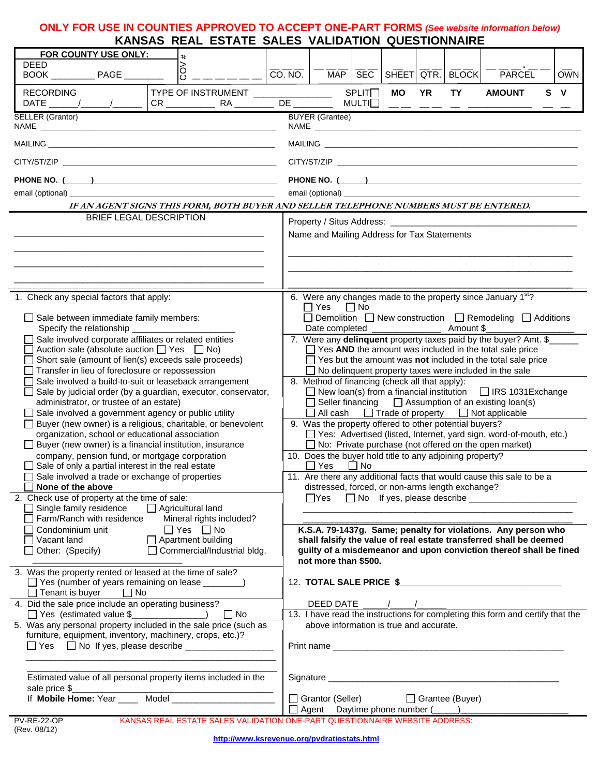## **ONLY FOR USE IN COUNTIES APPROVED TO ACCEPT ONE-PART FORMS** *(See website information below)* **KANSAS REAL ESTATE SALES VALIDATION QUESTIONNAIRE**

| FOR COUNTY USE ONLY:<br><b>DEED</b>                                                                                                                                                                                                                                                                                                                                                                                                                                                                                                                                                                                                                                                                                                                                                                                                                                         | $\ddagger$<br>$\begin{array}{c} 6 \\ 0 \\ - \end{array}$                    |                                     |                                                                                                                                                                                                                                                                                                                                                                                                                                               |     |                                                                                                                                                                                                                                                                                                                                                                                                                                                                                         |           |              |                                                          |   |            |  |
|-----------------------------------------------------------------------------------------------------------------------------------------------------------------------------------------------------------------------------------------------------------------------------------------------------------------------------------------------------------------------------------------------------------------------------------------------------------------------------------------------------------------------------------------------------------------------------------------------------------------------------------------------------------------------------------------------------------------------------------------------------------------------------------------------------------------------------------------------------------------------------|-----------------------------------------------------------------------------|-------------------------------------|-----------------------------------------------------------------------------------------------------------------------------------------------------------------------------------------------------------------------------------------------------------------------------------------------------------------------------------------------------------------------------------------------------------------------------------------------|-----|-----------------------------------------------------------------------------------------------------------------------------------------------------------------------------------------------------------------------------------------------------------------------------------------------------------------------------------------------------------------------------------------------------------------------------------------------------------------------------------------|-----------|--------------|----------------------------------------------------------|---|------------|--|
|                                                                                                                                                                                                                                                                                                                                                                                                                                                                                                                                                                                                                                                                                                                                                                                                                                                                             |                                                                             |                                     | $\overline{CO. NO.}$ MAP                                                                                                                                                                                                                                                                                                                                                                                                                      | SEC | SHEET QTR.                                                                                                                                                                                                                                                                                                                                                                                                                                                                              |           | <b>BLOCK</b> | PARCEL                                                   |   | <b>OWN</b> |  |
| <b>RECORDING</b>                                                                                                                                                                                                                                                                                                                                                                                                                                                                                                                                                                                                                                                                                                                                                                                                                                                            |                                                                             |                                     |                                                                                                                                                                                                                                                                                                                                                                                                                                               |     | <b>MO</b><br>$\frac{1}{2} \left( \frac{1}{2} \right) \left( \frac{1}{2} \right) \left( \frac{1}{2} \right) \left( \frac{1}{2} \right) \left( \frac{1}{2} \right) \left( \frac{1}{2} \right) \left( \frac{1}{2} \right) \left( \frac{1}{2} \right) \left( \frac{1}{2} \right) \left( \frac{1}{2} \right) \left( \frac{1}{2} \right) \left( \frac{1}{2} \right) \left( \frac{1}{2} \right) \left( \frac{1}{2} \right) \left( \frac{1}{2} \right) \left( \frac{1}{2} \right) \left( \frac$ | <b>YR</b> | <b>TY</b>    | <b>AMOUNT</b>                                            | S | v          |  |
| SELLER (Grantor)<br>NAME THE RESIDENCE IN THE RESIDENCE IN THE RESIDENCE IN THE RESIDENCE IN THE RESIDENCE IN THE RESIDENCE IN THE                                                                                                                                                                                                                                                                                                                                                                                                                                                                                                                                                                                                                                                                                                                                          |                                                                             |                                     | <b>BUYER (Grantee)</b>                                                                                                                                                                                                                                                                                                                                                                                                                        |     |                                                                                                                                                                                                                                                                                                                                                                                                                                                                                         |           |              |                                                          |   |            |  |
|                                                                                                                                                                                                                                                                                                                                                                                                                                                                                                                                                                                                                                                                                                                                                                                                                                                                             |                                                                             |                                     |                                                                                                                                                                                                                                                                                                                                                                                                                                               |     |                                                                                                                                                                                                                                                                                                                                                                                                                                                                                         |           |              |                                                          |   |            |  |
|                                                                                                                                                                                                                                                                                                                                                                                                                                                                                                                                                                                                                                                                                                                                                                                                                                                                             |                                                                             |                                     |                                                                                                                                                                                                                                                                                                                                                                                                                                               |     |                                                                                                                                                                                                                                                                                                                                                                                                                                                                                         |           |              |                                                          |   |            |  |
|                                                                                                                                                                                                                                                                                                                                                                                                                                                                                                                                                                                                                                                                                                                                                                                                                                                                             |                                                                             |                                     |                                                                                                                                                                                                                                                                                                                                                                                                                                               |     |                                                                                                                                                                                                                                                                                                                                                                                                                                                                                         |           |              |                                                          |   |            |  |
|                                                                                                                                                                                                                                                                                                                                                                                                                                                                                                                                                                                                                                                                                                                                                                                                                                                                             |                                                                             |                                     |                                                                                                                                                                                                                                                                                                                                                                                                                                               |     |                                                                                                                                                                                                                                                                                                                                                                                                                                                                                         |           |              |                                                          |   |            |  |
| IF AN AGENT SIGNS THIS FORM, BOTH BUYER AND SELLER TELEPHONE NUMBERS MUST BE ENTERED.<br>BRIEF LEGAL DESCRIPTION                                                                                                                                                                                                                                                                                                                                                                                                                                                                                                                                                                                                                                                                                                                                                            |                                                                             |                                     |                                                                                                                                                                                                                                                                                                                                                                                                                                               |     |                                                                                                                                                                                                                                                                                                                                                                                                                                                                                         |           |              |                                                          |   |            |  |
|                                                                                                                                                                                                                                                                                                                                                                                                                                                                                                                                                                                                                                                                                                                                                                                                                                                                             |                                                                             |                                     | Name and Mailing Address for Tax Statements                                                                                                                                                                                                                                                                                                                                                                                                   |     |                                                                                                                                                                                                                                                                                                                                                                                                                                                                                         |           |              |                                                          |   |            |  |
| 1. Check any special factors that apply:<br>Sale between immediate family members:<br>Specify the relationship<br>Sale involved corporate affiliates or related entities<br>Auction sale (absolute auction $\Box$ Yes $\Box$ No)<br>Short sale (amount of lien(s) exceeds sale proceeds)<br>Transfer in lieu of foreclosure or repossession<br>Sale involved a build-to-suit or leaseback arrangement<br>Sale by judicial order (by a guardian, executor, conservator,<br>administrator, or trustee of an estate)<br>$\Box$ Sale involved a government agency or public utility<br>Buyer (new owner) is a religious, charitable, or benevolent<br>organization, school or educational association<br>Buyer (new owner) is a financial institution, insurance<br>company, pension fund, or mortgage corporation<br>$\Box$ Sale of only a partial interest in the real estate |                                                                             |                                     | 6. Were any changes made to the property since January 1 <sup>st</sup> ?<br>$\Box$ Yes<br>$\Box$ No<br>$\Box$ Demolition $\Box$ New construction $\Box$ Remodeling $\Box$ Additions<br>Date completed ________________ Amount \$<br>7. Were any delinquent property taxes paid by the buyer? Amt. \$_<br>$\Box$ Yes AND the amount was included in the total sale price<br>$\Box$ Yes but the amount was not included in the total sale price |     |                                                                                                                                                                                                                                                                                                                                                                                                                                                                                         |           |              |                                                          |   |            |  |
|                                                                                                                                                                                                                                                                                                                                                                                                                                                                                                                                                                                                                                                                                                                                                                                                                                                                             |                                                                             |                                     | No delinquent property taxes were included in the sale<br>8. Method of financing (check all that apply):<br>New loan(s) from a financial institution $\Box$ IRS 1031 Exchange<br>Seller financing $\Box$ Assumption of an existing loan(s)<br>$\Box$ All cash $\Box$ Trade of property $\Box$ Not applicable<br>9. Was the property offered to other potential buyers?                                                                        |     |                                                                                                                                                                                                                                                                                                                                                                                                                                                                                         |           |              |                                                          |   |            |  |
|                                                                                                                                                                                                                                                                                                                                                                                                                                                                                                                                                                                                                                                                                                                                                                                                                                                                             |                                                                             |                                     | □ Yes: Advertised (listed, Internet, yard sign, word-of-mouth, etc.)<br>No: Private purchase (not offered on the open market)<br>10. Does the buyer hold title to any adjoining property?<br>$\Box$ Yes $\Box$ No                                                                                                                                                                                                                             |     |                                                                                                                                                                                                                                                                                                                                                                                                                                                                                         |           |              |                                                          |   |            |  |
| Sale involved a trade or exchange of properties<br>None of the above<br>2. Check use of property at the time of sale:                                                                                                                                                                                                                                                                                                                                                                                                                                                                                                                                                                                                                                                                                                                                                       |                                                                             |                                     | 11. Are there any additional facts that would cause this sale to be a<br>distressed, forced, or non-arms length exchange?<br>$\Box$ Yes                                                                                                                                                                                                                                                                                                       |     |                                                                                                                                                                                                                                                                                                                                                                                                                                                                                         |           |              |                                                          |   |            |  |
| $\Box$ Single family residence                                                                                                                                                                                                                                                                                                                                                                                                                                                                                                                                                                                                                                                                                                                                                                                                                                              | $\Box$ Agricultural land                                                    |                                     |                                                                                                                                                                                                                                                                                                                                                                                                                                               |     |                                                                                                                                                                                                                                                                                                                                                                                                                                                                                         |           |              |                                                          |   |            |  |
| $\Box$ Farm/Ranch with residence<br>Mineral rights included?<br>$\Box$ Yes $\Box$ No<br>Condominium unit<br>$\Box$ Apartment building<br>Vacant land<br>Commercial/Industrial bldg.<br>Other: (Specify)                                                                                                                                                                                                                                                                                                                                                                                                                                                                                                                                                                                                                                                                     |                                                                             |                                     | K.S.A. 79-1437g. Same; penalty for violations. Any person who<br>shall falsify the value of real estate transferred shall be deemed<br>guilty of a misdemeanor and upon conviction thereof shall be fined<br>not more than \$500.                                                                                                                                                                                                             |     |                                                                                                                                                                                                                                                                                                                                                                                                                                                                                         |           |              |                                                          |   |            |  |
| 3. Was the property rented or leased at the time of sale?<br>Yes (number of years remaining on lease ________)<br>$\Box$ Tenant is buyer<br>$\Box$ No                                                                                                                                                                                                                                                                                                                                                                                                                                                                                                                                                                                                                                                                                                                       |                                                                             |                                     | 12. TOTAL SALE PRICE \$                                                                                                                                                                                                                                                                                                                                                                                                                       |     |                                                                                                                                                                                                                                                                                                                                                                                                                                                                                         |           |              |                                                          |   |            |  |
| 4. Did the sale price include an operating business?                                                                                                                                                                                                                                                                                                                                                                                                                                                                                                                                                                                                                                                                                                                                                                                                                        |                                                                             |                                     | DEED DATE                                                                                                                                                                                                                                                                                                                                                                                                                                     |     |                                                                                                                                                                                                                                                                                                                                                                                                                                                                                         |           |              |                                                          |   |            |  |
| □ Yes (estimated value \$<br>5. Was any personal property included in the sale price (such as<br>furniture, equipment, inventory, machinery, crops, etc.)?                                                                                                                                                                                                                                                                                                                                                                                                                                                                                                                                                                                                                                                                                                                  |                                                                             |                                     | 13. I have read the instructions for completing this form and certify that the<br>above information is true and accurate.                                                                                                                                                                                                                                                                                                                     |     |                                                                                                                                                                                                                                                                                                                                                                                                                                                                                         |           |              |                                                          |   |            |  |
| Estimated value of all personal property items included in the<br>sale price \$<br>If Mobile Home: Year ____ Model __________________                                                                                                                                                                                                                                                                                                                                                                                                                                                                                                                                                                                                                                                                                                                                       |                                                                             | Grantee (Buyer)<br>Grantor (Seller) |                                                                                                                                                                                                                                                                                                                                                                                                                                               |     |                                                                                                                                                                                                                                                                                                                                                                                                                                                                                         |           |              |                                                          |   |            |  |
| PV-RE-22-OP                                                                                                                                                                                                                                                                                                                                                                                                                                                                                                                                                                                                                                                                                                                                                                                                                                                                 | KANSAS REAL ESTATE SALES VALIDATION ONE-PART QUESTIONNAIRE WEBSITE ADDRESS: |                                     |                                                                                                                                                                                                                                                                                                                                                                                                                                               |     |                                                                                                                                                                                                                                                                                                                                                                                                                                                                                         |           |              | Agent Daytime phone number ( <u>____)</u> ______________ |   |            |  |